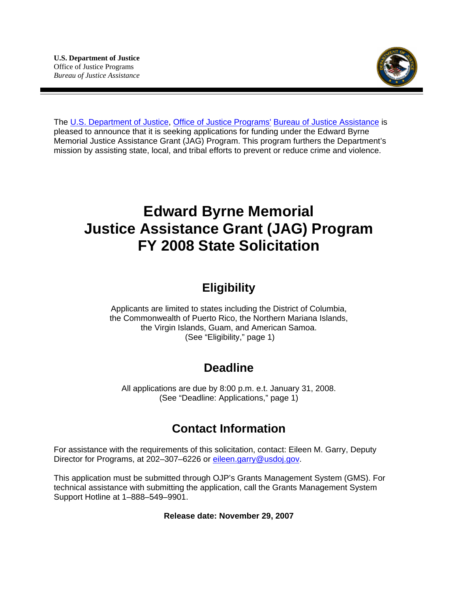

The [U.S. Department of Justice,](http://www.usdoj.gov/) [Office of Justice Programs'](http://www.ojp.usdoj.gov/) [Bureau of Justice Assistance](http://www.ojp.usdoj.gov/BJA/) is pleased to announce that it is seeking applications for funding under the Edward Byrne Memorial Justice Assistance Grant (JAG) Program. This program furthers the Department's mission by assisting state, local, and tribal efforts to prevent or reduce crime and violence.

# **Edward Byrne Memorial Justice Assistance Grant (JAG) Program FY 2008 State Solicitation**

# **Eligibility**

Applicants are limited to states including the District of Columbia, the Commonwealth of Puerto Rico, the Northern Mariana Islands, the Virgin Islands, Guam, and American Samoa. (See "Eligibility," page 1)

# **Deadline**

All applications are due by 8:00 p.m. e.t. January 31, 2008. (See "Deadline: Applications," page 1)

# **Contact Information**

For assistance with the requirements of this solicitation, contact: Eileen M. Garry, Deputy Director for Programs, at 202-307-6226 or [eileen.garry@usdoj.gov](mailto:Eileen.garry@usdoj.gov).

This application must be submitted through OJP's Grants Management System (GMS). For technical assistance with submitting the application, call the Grants Management System Support Hotline at 1–888–549–9901.

**Release date: November 29, 2007**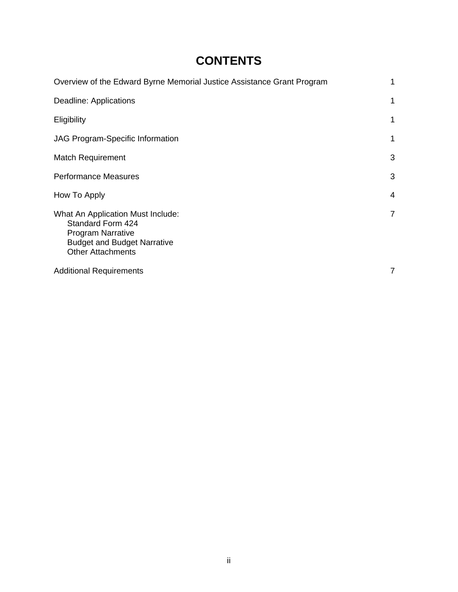# **CONTENTS**

| Overview of the Edward Byrne Memorial Justice Assistance Grant Program                                                                                      | 1 |
|-------------------------------------------------------------------------------------------------------------------------------------------------------------|---|
| Deadline: Applications                                                                                                                                      | 1 |
| Eligibility                                                                                                                                                 | 1 |
| <b>JAG Program-Specific Information</b>                                                                                                                     | 1 |
| <b>Match Requirement</b>                                                                                                                                    | 3 |
| <b>Performance Measures</b>                                                                                                                                 | 3 |
| How To Apply                                                                                                                                                | 4 |
| What An Application Must Include:<br><b>Standard Form 424</b><br><b>Program Narrative</b><br><b>Budget and Budget Narrative</b><br><b>Other Attachments</b> | 7 |
| <b>Additional Requirements</b>                                                                                                                              | 7 |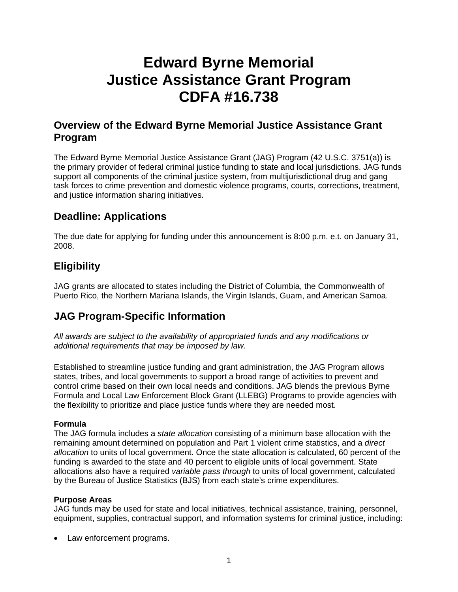# **Edward Byrne Memorial Justice Assistance Grant Program CDFA #16.738**

# **Overview of the Edward Byrne Memorial Justice Assistance Grant Program**

The Edward Byrne Memorial Justice Assistance Grant (JAG) Program (42 U.S.C. 3751(a)) is the primary provider of federal criminal justice funding to state and local jurisdictions. JAG funds support all components of the criminal justice system, from multijurisdictional drug and gang task forces to crime prevention and domestic violence programs, courts, corrections, treatment, and justice information sharing initiatives.

# **Deadline: Applications**

The due date for applying for funding under this announcement is 8:00 p.m. e.t. on January 31, 2008.

# **Eligibility**

JAG grants are allocated to states including the District of Columbia, the Commonwealth of Puerto Rico, the Northern Mariana Islands, the Virgin Islands, Guam, and American Samoa.

# **JAG Program-Specific Information**

*All awards are subject to the availability of appropriated funds and any modifications or additional requirements that may be imposed by law.* 

Established to streamline justice funding and grant administration, the JAG Program allows states, tribes, and local governments to support a broad range of activities to prevent and control crime based on their own local needs and conditions. JAG blends the previous Byrne Formula and Local Law Enforcement Block Grant (LLEBG) Programs to provide agencies with the flexibility to prioritize and place justice funds where they are needed most.

## **Formula**

The JAG formula includes a *state allocation* consisting of a minimum base allocation with the remaining amount determined on population and Part 1 violent crime statistics, and a *direct allocation* to units of local government. Once the state allocation is calculated, 60 percent of the funding is awarded to the state and 40 percent to eligible units of local government. State allocations also have a required *variable pass through* to units of local government, calculated by the Bureau of Justice Statistics (BJS) from each state's crime expenditures.

### **Purpose Areas**

JAG funds may be used for state and local initiatives, technical assistance, training, personnel, equipment, supplies, contractual support, and information systems for criminal justice, including:

Law enforcement programs.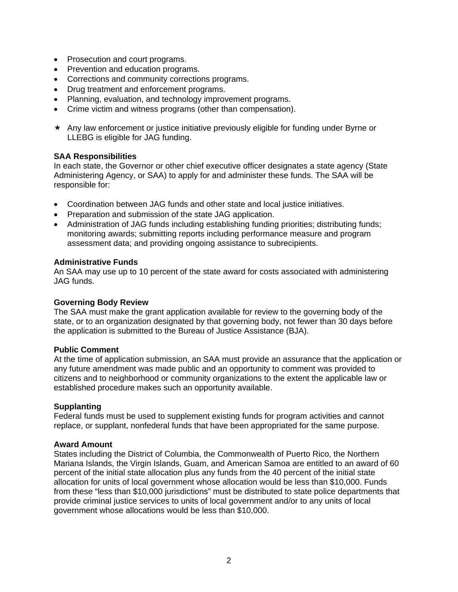- Prosecution and court programs.
- Prevention and education programs.
- Corrections and community corrections programs.
- Drug treatment and enforcement programs.
- Planning, evaluation, and technology improvement programs.
- Crime victim and witness programs (other than compensation).
- $\star$  Any law enforcement or justice initiative previously eligible for funding under Byrne or LLEBG is eligible for JAG funding.

#### **SAA Responsibilities**

In each state, the Governor or other chief executive officer designates a state agency (State Administering Agency, or SAA) to apply for and administer these funds. The SAA will be responsible for:

- Coordination between JAG funds and other state and local justice initiatives.
- Preparation and submission of the state JAG application.
- Administration of JAG funds including establishing funding priorities; distributing funds; monitoring awards; submitting reports including performance measure and program assessment data; and providing ongoing assistance to subrecipients.

#### **Administrative Funds**

An SAA may use up to 10 percent of the state award for costs associated with administering JAG funds.

#### **Governing Body Review**

The SAA must make the grant application available for review to the governing body of the state, or to an organization designated by that governing body, not fewer than 30 days before the application is submitted to the Bureau of Justice Assistance (BJA).

#### **Public Comment**

At the time of application submission, an SAA must provide an assurance that the application or any future amendment was made public and an opportunity to comment was provided to citizens and to neighborhood or community organizations to the extent the applicable law or established procedure makes such an opportunity available.

#### **Supplanting**

Federal funds must be used to supplement existing funds for program activities and cannot replace, or supplant, nonfederal funds that have been appropriated for the same purpose.

#### **Award Amount**

States including the District of Columbia, the Commonwealth of Puerto Rico, the Northern Mariana Islands, the Virgin Islands, Guam, and American Samoa are entitled to an award of 60 percent of the initial state allocation plus any funds from the 40 percent of the initial state allocation for units of local government whose allocation would be less than \$10,000. Funds from these "less than \$10,000 jurisdictions" must be distributed to state police departments that provide criminal justice services to units of local government and/or to any units of local government whose allocations would be less than \$10,000.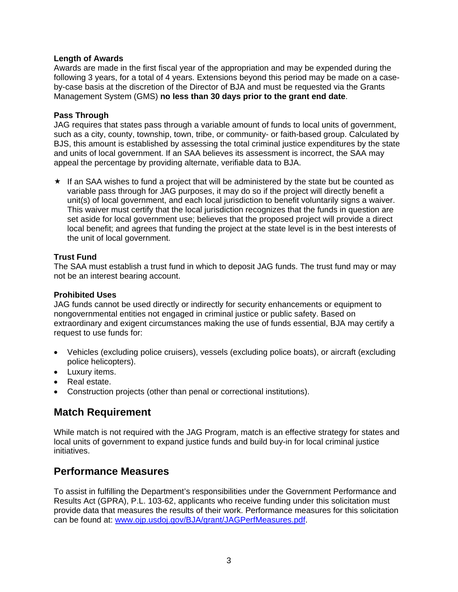### **Length of Awards**

Awards are made in the first fiscal year of the appropriation and may be expended during the following 3 years, for a total of 4 years. Extensions beyond this period may be made on a caseby-case basis at the discretion of the Director of BJA and must be requested via the Grants Management System (GMS) **no less than 30 days prior to the grant end date**.

#### **Pass Through**

JAG requires that states pass through a variable amount of funds to local units of government, such as a city, county, township, town, tribe, or community- or faith-based group. Calculated by BJS, this amount is established by assessing the total criminal justice expenditures by the state and units of local government. If an SAA believes its assessment is incorrect, the SAA may appeal the percentage by providing alternate, verifiable data to BJA.

 $\star$  If an SAA wishes to fund a project that will be administered by the state but be counted as variable pass through for JAG purposes, it may do so if the project will directly benefit a unit(s) of local government, and each local jurisdiction to benefit voluntarily signs a waiver. This waiver must certify that the local jurisdiction recognizes that the funds in question are set aside for local government use; believes that the proposed project will provide a direct local benefit; and agrees that funding the project at the state level is in the best interests of the unit of local government.

### **Trust Fund**

The SAA must establish a trust fund in which to deposit JAG funds. The trust fund may or may not be an interest bearing account.

#### **Prohibited Uses**

JAG funds cannot be used directly or indirectly for security enhancements or equipment to nongovernmental entities not engaged in criminal justice or public safety. Based on extraordinary and exigent circumstances making the use of funds essential, BJA may certify a request to use funds for:

- Vehicles (excluding police cruisers), vessels (excluding police boats), or aircraft (excluding police helicopters).
- Luxury items.
- Real estate.
- Construction projects (other than penal or correctional institutions).

# **Match Requirement**

While match is not required with the JAG Program, match is an effective strategy for states and local units of government to expand justice funds and build buy-in for local criminal justice initiatives.

## **Performance Measures**

To assist in fulfilling the Department's responsibilities under the Government Performance and Results Act (GPRA), P.L. 103-62, applicants who receive funding under this solicitation must provide data that measures the results of their work. Performance measures for this solicitation can be found at: [www.ojp.usdoj.gov/BJA/grant/JAGPerfMeasures.pdf](http://www.ojp.usdoj.gov/BJA/grant/JAGPerfMeasures.pdf).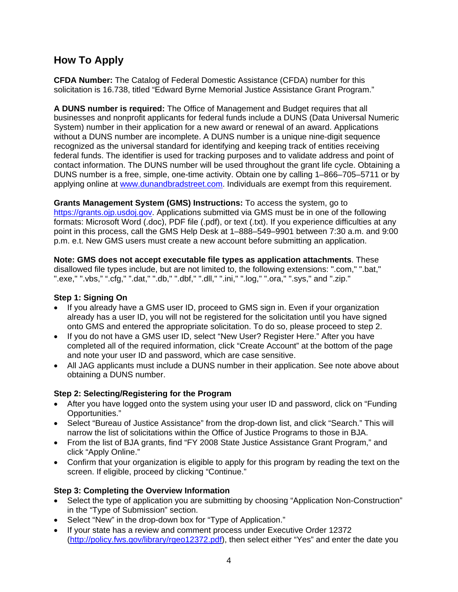# **How To Apply**

**CFDA Number:** The Catalog of Federal Domestic Assistance (CFDA) number for this solicitation is 16.738, titled "Edward Byrne Memorial Justice Assistance Grant Program."

**A DUNS number is required:** The Office of Management and Budget requires that all businesses and nonprofit applicants for federal funds include a DUNS (Data Universal Numeric System) number in their application for a new award or renewal of an award. Applications without a DUNS number are incomplete. A DUNS number is a unique nine-digit sequence recognized as the universal standard for identifying and keeping track of entities receiving federal funds. The identifier is used for tracking purposes and to validate address and point of contact information. The DUNS number will be used throughout the grant life cycle. Obtaining a DUNS number is a free, simple, one-time activity. Obtain one by calling 1–866–705–5711 or by applying online at [www.dunandbradstreet.com.](http://www.dunandbradstreet.com/) Individuals are exempt from this requirement.

**Grants Management System (GMS) Instructions:** To access the system, go to [https://grants.ojp.usdoj.gov](https://grants.ojp.usdoj.gov/). Applications submitted via GMS must be in one of the following formats: Microsoft Word (.doc), PDF file (.pdf), or text (.txt). If you experience difficulties at any point in this process, call the GMS Help Desk at 1–888–549–9901 between 7:30 a.m. and 9:00 p.m. e.t. New GMS users must create a new account before submitting an application.

**Note: GMS does not accept executable file types as application attachments**. These disallowed file types include, but are not limited to, the following extensions: ".com," ".bat," ".exe," ".vbs," ".cfg," ".dat," ".db," ".dbf," ".dll," ".ini," ".log," ".ora," ".sys," and ".zip."

### **Step 1: Signing On**

- If you already have a GMS user ID, proceed to GMS sign in. Even if your organization already has a user ID, you will not be registered for the solicitation until you have signed onto GMS and entered the appropriate solicitation. To do so, please proceed to step 2.
- If you do not have a GMS user ID, select "New User? Register Here." After you have completed all of the required information, click "Create Account" at the bottom of the page and note your user ID and password, which are case sensitive.
- All JAG applicants must include a DUNS number in their application. See note above about obtaining a DUNS number.

## **Step 2: Selecting/Registering for the Program**

- After you have logged onto the system using your user ID and password, click on "Funding" Opportunities."
- Select "Bureau of Justice Assistance" from the drop-down list, and click "Search." This will narrow the list of solicitations within the Office of Justice Programs to those in BJA.
- From the list of BJA grants, find "FY 2008 State Justice Assistance Grant Program," and click "Apply Online."
- Confirm that your organization is eligible to apply for this program by reading the text on the screen. If eligible, proceed by clicking "Continue."

## **Step 3: Completing the Overview Information**

- Select the type of application you are submitting by choosing "Application Non-Construction" in the "Type of Submission" section.
- Select "New" in the drop-down box for "Type of Application."
- If your state has a review and comment process under Executive Order 12372 ([http://policy.fws.gov/library/rgeo12372.pdf\)](http://policy.fws.gov/library/rgeo12372.pdf), then select either "Yes" and enter the date you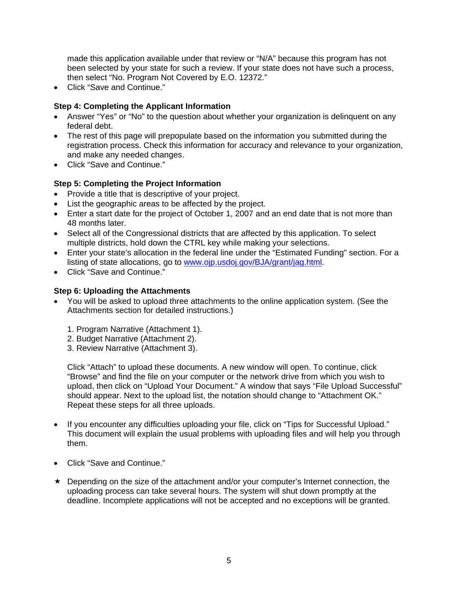made this application available under that review or "N/A" because this program has not been selected by your state for such a review. If your state does not have such a process, then select "No. Program Not Covered by E.O. 12372."

• Click "Save and Continue."

## **Step 4: Completing the Applicant Information**

- Answer "Yes" or "No" to the question about whether your organization is delinquent on any federal debt.
- The rest of this page will prepopulate based on the information you submitted during the registration process. Check this information for accuracy and relevance to your organization, and make any needed changes.
- Click "Save and Continue."

## **Step 5: Completing the Project Information**

- Provide a title that is descriptive of your project.
- List the geographic areas to be affected by the project.
- Enter a start date for the project of October 1, 2007 and an end date that is not more than 48 months later.
- Select all of the Congressional districts that are affected by this application. To select multiple districts, hold down the CTRL key while making your selections.
- Enter your state's allocation in the federal line under the "Estimated Funding" section. For a listing of state allocations, go to [www.ojp.usdoj.gov/BJA/grant/jag.html.](http://www.ojp.usdoj.gov/BJA/grant/jag.html)
- Click "Save and Continue."

## **Step 6: Uploading the Attachments**

- You will be asked to upload three attachments to the online application system. (See the Attachments section for detailed instructions.)
	- 1. Program Narrative (Attachment 1).
	- 2. Budget Narrative (Attachment 2).
	- 3. Review Narrative (Attachment 3).

Click "Attach" to upload these documents. A new window will open. To continue, click "Browse" and find the file on your computer or the network drive from which you wish to upload, then click on "Upload Your Document." A window that says "File Upload Successful" should appear. Next to the upload list, the notation should change to "Attachment OK." Repeat these steps for all three uploads.

- If you encounter any difficulties uploading your file, click on "Tips for Successful Upload." This document will explain the usual problems with uploading files and will help you through them.
- Click "Save and Continue."
- $\star$  Depending on the size of the attachment and/or your computer's Internet connection, the uploading process can take several hours. The system will shut down promptly at the deadline. Incomplete applications will not be accepted and no exceptions will be granted.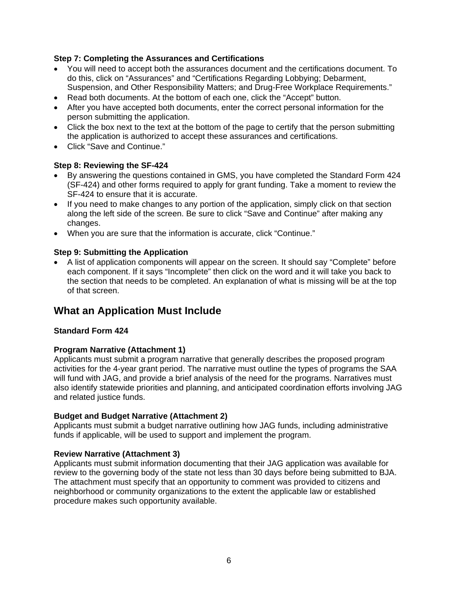### **Step 7: Completing the Assurances and Certifications**

- You will need to accept both the assurances document and the certifications document. To do this, click on "Assurances" and "Certifications Regarding Lobbying; Debarment, Suspension, and Other Responsibility Matters; and Drug-Free Workplace Requirements."
- Read both documents. At the bottom of each one, click the "Accept" button.
- After you have accepted both documents, enter the correct personal information for the person submitting the application.
- Click the box next to the text at the bottom of the page to certify that the person submitting the application is authorized to accept these assurances and certifications.
- Click "Save and Continue."

### **Step 8: Reviewing the SF-424**

- By answering the questions contained in GMS, you have completed the Standard Form 424 (SF-424) and other forms required to apply for grant funding. Take a moment to review the SF-424 to ensure that it is accurate.
- If you need to make changes to any portion of the application, simply click on that section along the left side of the screen. Be sure to click "Save and Continue" after making any changes.
- When you are sure that the information is accurate, click "Continue."

#### **Step 9: Submitting the Application**

• A list of application components will appear on the screen. It should say "Complete" before each component. If it says "Incomplete" then click on the word and it will take you back to the section that needs to be completed. An explanation of what is missing will be at the top of that screen.

# **What an Application Must Include**

#### **Standard Form 424**

#### **Program Narrative (Attachment 1)**

Applicants must submit a program narrative that generally describes the proposed program activities for the 4-year grant period. The narrative must outline the types of programs the SAA will fund with JAG, and provide a brief analysis of the need for the programs. Narratives must also identify statewide priorities and planning, and anticipated coordination efforts involving JAG and related justice funds.

#### **Budget and Budget Narrative (Attachment 2)**

Applicants must submit a budget narrative outlining how JAG funds, including administrative funds if applicable, will be used to support and implement the program.

#### **Review Narrative (Attachment 3)**

Applicants must submit information documenting that their JAG application was available for review to the governing body of the state not less than 30 days before being submitted to BJA. The attachment must specify that an opportunity to comment was provided to citizens and neighborhood or community organizations to the extent the applicable law or established procedure makes such opportunity available.